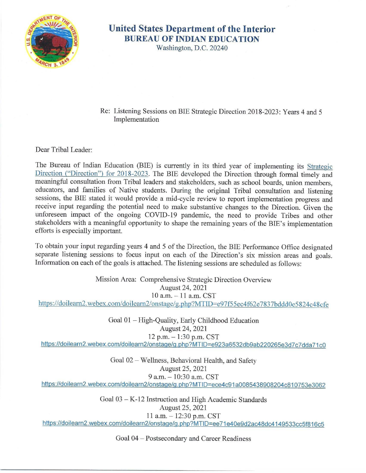

## **United States Department of the Interior BUREAU OF INDIAN EDUCATION**

Washington, D.C. 20240

Re: Listening Sessions on BIE Strategic Direction 2018-2023: Years 4 and 5 Implementation

Dear Tribal Leader:

[The Bureau of Indian Education \(BIE\) is currently in its third year of implementing its Strategic](https://www.bie.edu/sites/default/files/documents/idc2-086443.pdf) Direction ("Direction") for 2018-2023. The BIE developed the Direction through formal timely and meaningful consultation from Tribal leaders and stakeholders, such as school boards, union members, educators, and families of Native students. During the original Tribal consultation and listening sessions, the BIE stated it would provide a mid-cycle review to report implementation progress and receive input regarding the potential need to make substantive changes to the Direction. Given the unforeseen impact of the ongoing COVID-19 pandemic, the need to provide Tribes and other stakeholders with a meaningful opportunity to shape the remaining years of the BIE's implementation efforts is especially important.

To obtain your input regarding years 4 and 5 of the Direction, the BIE Performance Office designated separate listening sessions to focus input on each of the Direction's six mission areas and goals. Information on each of the goals is attached. The listening sessions are scheduled as follows:

Mission Area: Comprehensive Strategic Direction Overview August 24, 2021 10 a.m. - 11 a.m. CST <https://doilearn2.webex.com/doilearn2/onstage/g.php?MTID=e97f55ec4f62e7837bddd0e5824c48cfe>

Goal 01 - High-Quality, Early Childhood Education August 24, 2021 12 p.m. - 1:30 p.m. CST https://doilearn2.webex.com/doilearn2/onstage/g.php?MTID=e923a6532db9ab220265e3d7c7dda71c0

Goal 02 - Wellness, Behavioral Health, and Safety August 25, 2021 9 a.m. - 10:30 a.m. CST https://doilearn2.webex.com/doilearn2/onstage/g.php?MTID=ece4c91a0085438908204c810753e3062

> Goal 03 - K-12 Instruction and High Academic Standards August 25, 2021 11 a.m. - 12:30 p.m. CST

[https://doilearn2.webex.com/doilearn2/onstage/g .php?MTID=ee 71 e40e9d2ac48dc4149533cc5f816c5](https://doilearn2.webex.com/doilearn2/onstage/g.php?MTID=ee71e40e9d2ac48dc4149533cc5f816c5) 

Goal 04 - Postsecondary and Career Readiness